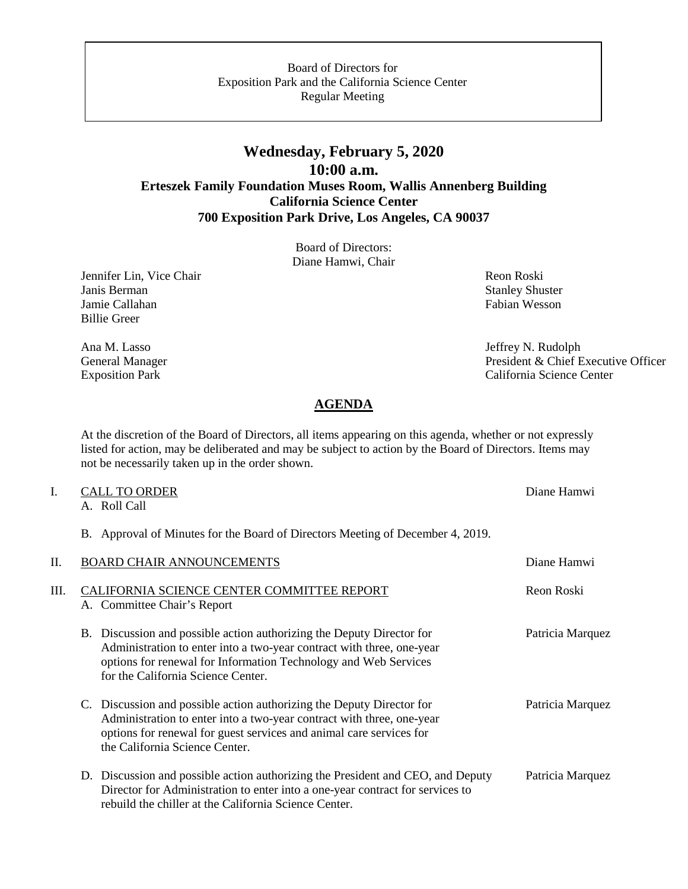#### Board of Directors for Exposition Park and the California Science Center Regular Meeting

# **Wednesday, February 5, 2020 10:00 a.m. Erteszek Family Foundation Muses Room, Wallis Annenberg Building California Science Center 700 Exposition Park Drive, Los Angeles, CA 90037**

Board of Directors: Diane Hamwi, Chair

Jennifer Lin, Vice Chair Revenue and The Chair Reon Roski Janis Berman Stanley Shuster<br>
Jamie Callahan Stanley Shuster<br>
Fabian Wesson Jamie Callahan Billie Greer

Ana M. Lasso Jeffrey N. Rudolph General Manager President & Chief Executive Officer Exposition Park California Science Center

## **AGENDA**

At the discretion of the Board of Directors, all items appearing on this agenda, whether or not expressly listed for action, may be deliberated and may be subject to action by the Board of Directors. Items may not be necessarily taken up in the order shown.

# I. CALL TO ORDER Diane Hamwi

A. Roll Call

B. Approval of Minutes for the Board of Directors Meeting of December 4, 2019.

| II.  | <b>BOARD CHAIR ANNOUNCEMENTS</b>                                                                                                                                                                                                                        | Diane Hamwi      |
|------|---------------------------------------------------------------------------------------------------------------------------------------------------------------------------------------------------------------------------------------------------------|------------------|
| III. | CALIFORNIA SCIENCE CENTER COMMITTEE REPORT<br>A. Committee Chair's Report                                                                                                                                                                               | Reon Roski       |
|      | B. Discussion and possible action authorizing the Deputy Director for<br>Administration to enter into a two-year contract with three, one-year<br>options for renewal for Information Technology and Web Services<br>for the California Science Center. | Patricia Marquez |
|      | C. Discussion and possible action authorizing the Deputy Director for<br>Administration to enter into a two-year contract with three, one-year<br>options for renewal for guest services and animal care services for<br>the California Science Center. | Patricia Marquez |
|      | D. Discussion and possible action authorizing the President and CEO, and Deputy<br>Director for Administration to enter into a one-year contract for services to<br>rebuild the chiller at the California Science Center.                               | Patricia Marquez |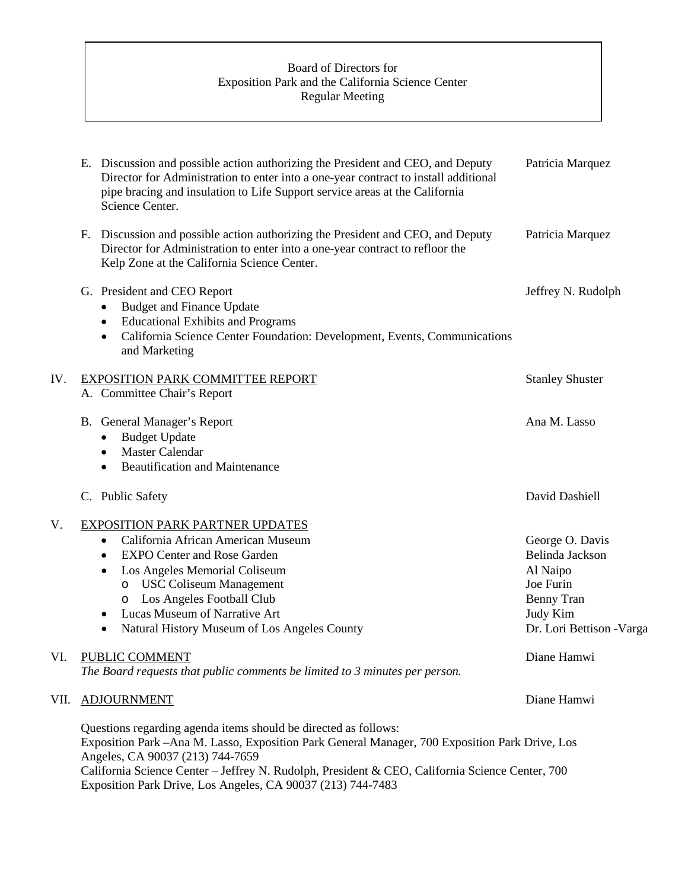# Board of Directors for Exposition Park and the California Science Center Regular Meeting

|      | E. Discussion and possible action authorizing the President and CEO, and Deputy<br>Director for Administration to enter into a one-year contract to install additional<br>pipe bracing and insulation to Life Support service areas at the California<br>Science Center.                                                                                                | Patricia Marquez                                                                                                          |
|------|-------------------------------------------------------------------------------------------------------------------------------------------------------------------------------------------------------------------------------------------------------------------------------------------------------------------------------------------------------------------------|---------------------------------------------------------------------------------------------------------------------------|
|      | Discussion and possible action authorizing the President and CEO, and Deputy<br>F.<br>Director for Administration to enter into a one-year contract to refloor the<br>Kelp Zone at the California Science Center.                                                                                                                                                       | Patricia Marquez                                                                                                          |
|      | G. President and CEO Report<br><b>Budget and Finance Update</b><br>٠<br><b>Educational Exhibits and Programs</b><br>$\bullet$<br>California Science Center Foundation: Development, Events, Communications<br>$\bullet$<br>and Marketing                                                                                                                                | Jeffrey N. Rudolph                                                                                                        |
| IV.  | <b>EXPOSITION PARK COMMITTEE REPORT</b><br>A. Committee Chair's Report                                                                                                                                                                                                                                                                                                  | <b>Stanley Shuster</b>                                                                                                    |
|      | B. General Manager's Report<br><b>Budget Update</b><br>٠<br><b>Master Calendar</b><br>$\bullet$<br><b>Beautification and Maintenance</b><br>$\bullet$                                                                                                                                                                                                                   | Ana M. Lasso                                                                                                              |
|      | C. Public Safety                                                                                                                                                                                                                                                                                                                                                        | David Dashiell                                                                                                            |
| V.   | <b>EXPOSITION PARK PARTNER UPDATES</b><br>California African American Museum<br>$\bullet$<br><b>EXPO Center and Rose Garden</b><br>$\bullet$<br>Los Angeles Memorial Coliseum<br>$\bullet$<br>o USC Coliseum Management<br>o Los Angeles Football Club<br>Lucas Museum of Narrative Art<br>$\bullet$<br>Natural History Museum of Los Angeles County<br>٠               | George O. Davis<br>Belinda Jackson<br>Al Naipo<br>Joe Furin<br><b>Benny Tran</b><br>Judy Kim<br>Dr. Lori Bettison - Varga |
| VI.  | PUBLIC COMMENT<br>The Board requests that public comments be limited to 3 minutes per person.                                                                                                                                                                                                                                                                           | Diane Hamwi                                                                                                               |
| VII. | <b>ADJOURNMENT</b>                                                                                                                                                                                                                                                                                                                                                      | Diane Hamwi                                                                                                               |
|      | Questions regarding agenda items should be directed as follows:<br>Exposition Park -Ana M. Lasso, Exposition Park General Manager, 700 Exposition Park Drive, Los<br>Angeles, CA 90037 (213) 744-7659<br>California Science Center - Jeffrey N. Rudolph, President & CEO, California Science Center, 700<br>Exposition Park Drive, Los Angeles, CA 90037 (213) 744-7483 |                                                                                                                           |